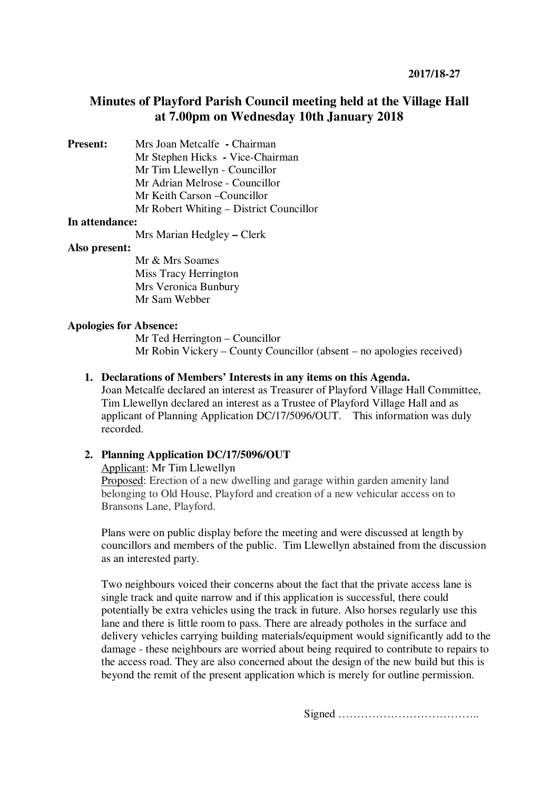# **Minutes of Playford Parish Council meeting held at the Village Hall at 7.00pm on Wednesday 10th January 2018**

**Present:** Mrs Joan Metcalfe **- Chairman** 

Mr Stephen Hicks **-** Vice-Chairman Mr Tim Llewellyn - Councillor Mr Adrian Melrose - Councillor

Mr Keith Carson –Councillor

Mr Robert Whiting – District Councillor

# **In attendance:**

Mrs Marian Hedgley **–** Clerk

### **Also present:**

Mr & Mrs Soames Miss Tracy Herrington Mrs Veronica Bunbury Mr Sam Webber

# **Apologies for Absence:**

Mr Ted Herrington – Councillor Mr Robin Vickery – County Councillor (absent – no apologies received)

# **1. Declarations of Members' Interests in any items on this Agenda.**

Joan Metcalfe declared an interest as Treasurer of Playford Village Hall Committee, Tim Llewellyn declared an interest as a Trustee of Playford Village Hall and as applicant of Planning Application DC/17/5096/OUT. This information was duly recorded.

# **2. Planning Application DC/17/5096/OUT**

Applicant: Mr Tim Llewellyn

Proposed: Erection of a new dwelling and garage within garden amenity land belonging to Old House, Playford and creation of a new vehicular access on to Bransons Lane, Playford.

Plans were on public display before the meeting and were discussed at length by councillors and members of the public. Tim Llewellyn abstained from the discussion as an interested party.

Two neighbours voiced their concerns about the fact that the private access lane is single track and quite narrow and if this application is successful, there could potentially be extra vehicles using the track in future. Also horses regularly use this lane and there is little room to pass. There are already potholes in the surface and delivery vehicles carrying building materials/equipment would significantly add to the damage - these neighbours are worried about being required to contribute to repairs to the access road. They are also concerned about the design of the new build but this is beyond the remit of the present application which is merely for outline permission.

Signed ………………………………..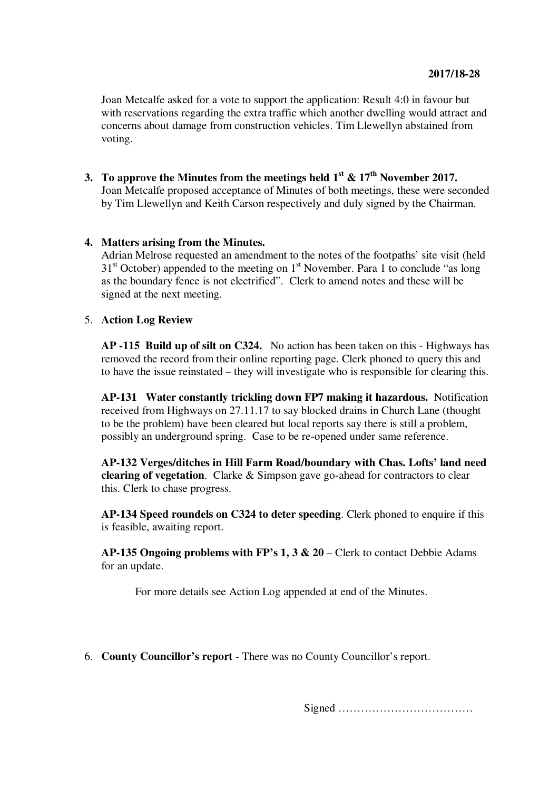Joan Metcalfe asked for a vote to support the application: Result 4:0 in favour but with reservations regarding the extra traffic which another dwelling would attract and concerns about damage from construction vehicles. Tim Llewellyn abstained from voting.

**3. To approve the Minutes from the meetings held**  $1^{st}$  **&**  $17^{th}$  **November 2017.** Joan Metcalfe proposed acceptance of Minutes of both meetings, these were seconded by Tim Llewellyn and Keith Carson respectively and duly signed by the Chairman.

# **4. Matters arising from the Minutes.**

Adrian Melrose requested an amendment to the notes of the footpaths' site visit (held  $31<sup>st</sup>$  October) appended to the meeting on  $1<sup>st</sup>$  November. Para 1 to conclude "as long as the boundary fence is not electrified". Clerk to amend notes and these will be signed at the next meeting.

### 5. **Action Log Review**

**AP -115 Build up of silt on C324.** No action has been taken on this - Highways has removed the record from their online reporting page. Clerk phoned to query this and to have the issue reinstated – they will investigate who is responsible for clearing this.

**AP-131 Water constantly trickling down FP7 making it hazardous.** Notification received from Highways on 27.11.17 to say blocked drains in Church Lane (thought to be the problem) have been cleared but local reports say there is still a problem, possibly an underground spring. Case to be re-opened under same reference.

**AP-132 Verges/ditches in Hill Farm Road/boundary with Chas. Lofts' land need clearing of vegetation**. Clarke & Simpson gave go-ahead for contractors to clear this. Clerk to chase progress.

**AP-134 Speed roundels on C324 to deter speeding**. Clerk phoned to enquire if this is feasible, awaiting report.

**AP-135 Ongoing problems with FP's 1, 3 & 20** – Clerk to contact Debbie Adams for an update.

For more details see Action Log appended at end of the Minutes.

6. **County Councillor's report** - There was no County Councillor's report.

Signed ………………………………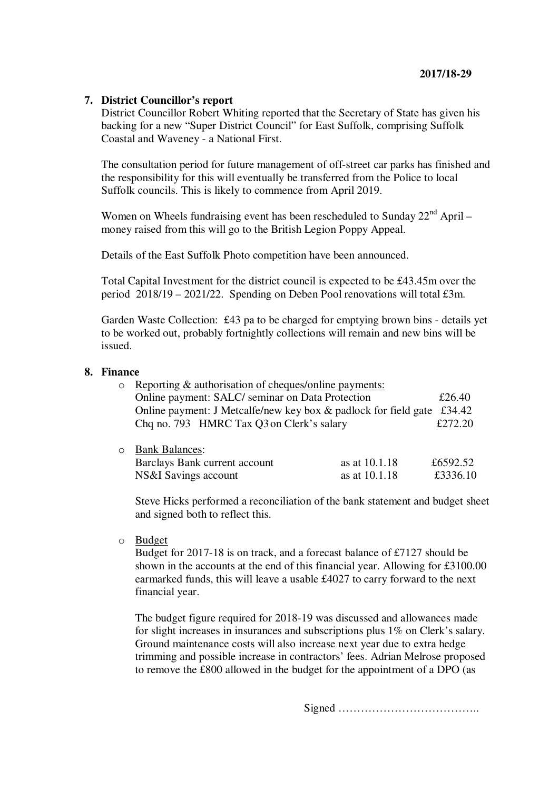# **7. District Councillor's report**

District Councillor Robert Whiting reported that the Secretary of State has given his backing for a new "Super District Council" for East Suffolk, comprising Suffolk Coastal and Waveney - a National First.

The consultation period for future management of off-street car parks has finished and the responsibility for this will eventually be transferred from the Police to local Suffolk councils. This is likely to commence from April 2019.

Women on Wheels fundraising event has been rescheduled to Sunday  $22<sup>nd</sup>$  April – money raised from this will go to the British Legion Poppy Appeal.

Details of the East Suffolk Photo competition have been announced.

Total Capital Investment for the district council is expected to be £43.45m over the period 2018/19 – 2021/22. Spending on Deben Pool renovations will total £3m.

Garden Waste Collection: £43 pa to be charged for emptying brown bins - details yet to be worked out, probably fortnightly collections will remain and new bins will be issued.

#### **8. Finance**

| $\circ$ | Reporting & authorisation of cheques/online payments:                  |               |          |
|---------|------------------------------------------------------------------------|---------------|----------|
|         | Online payment: SALC/ seminar on Data Protection                       |               | £26.40   |
|         | Online payment: J Metcalfe/new key box & padlock for field gate £34.42 |               |          |
|         | Chq no. 793 HMRC Tax Q3 on Clerk's salary                              |               | £272.20  |
|         |                                                                        |               |          |
|         | <b>Bank Balances:</b>                                                  |               |          |
|         | Barclays Bank current account                                          | as at 10.1.18 | £6592.52 |
|         | NS&I Savings account                                                   | as at 10.1.18 | £3336.10 |

Steve Hicks performed a reconciliation of the bank statement and budget sheet and signed both to reflect this.

o Budget

Budget for 2017-18 is on track, and a forecast balance of £7127 should be shown in the accounts at the end of this financial year. Allowing for £3100.00 earmarked funds, this will leave a usable £4027 to carry forward to the next financial year.

The budget figure required for 2018-19 was discussed and allowances made for slight increases in insurances and subscriptions plus 1% on Clerk's salary. Ground maintenance costs will also increase next year due to extra hedge trimming and possible increase in contractors' fees. Adrian Melrose proposed to remove the £800 allowed in the budget for the appointment of a DPO (as

Signed ………………………………..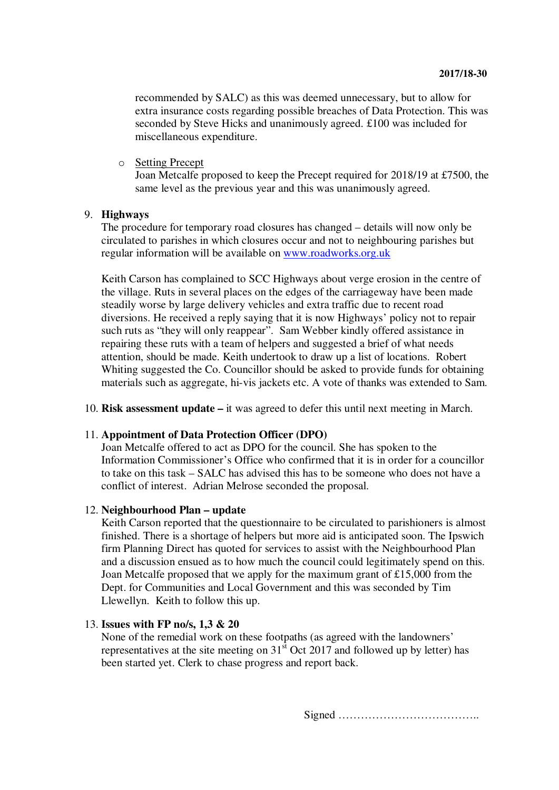recommended by SALC) as this was deemed unnecessary, but to allow for extra insurance costs regarding possible breaches of Data Protection. This was seconded by Steve Hicks and unanimously agreed. £100 was included for miscellaneous expenditure.

o Setting Precept

Joan Metcalfe proposed to keep the Precept required for 2018/19 at £7500, the same level as the previous year and this was unanimously agreed.

### 9. **Highways**

The procedure for temporary road closures has changed – details will now only be circulated to parishes in which closures occur and not to neighbouring parishes but regular information will be available on www.roadworks.org.uk

Keith Carson has complained to SCC Highways about verge erosion in the centre of the village. Ruts in several places on the edges of the carriageway have been made steadily worse by large delivery vehicles and extra traffic due to recent road diversions. He received a reply saying that it is now Highways' policy not to repair such ruts as "they will only reappear". Sam Webber kindly offered assistance in repairing these ruts with a team of helpers and suggested a brief of what needs attention, should be made. Keith undertook to draw up a list of locations. Robert Whiting suggested the Co. Councillor should be asked to provide funds for obtaining materials such as aggregate, hi-vis jackets etc. A vote of thanks was extended to Sam.

10. **Risk assessment update –** it was agreed to defer this until next meeting in March.

#### 11. **Appointment of Data Protection Officer (DPO)**

Joan Metcalfe offered to act as DPO for the council. She has spoken to the Information Commissioner's Office who confirmed that it is in order for a councillor to take on this task – SALC has advised this has to be someone who does not have a conflict of interest. Adrian Melrose seconded the proposal.

### 12. **Neighbourhood Plan – update**

Keith Carson reported that the questionnaire to be circulated to parishioners is almost finished. There is a shortage of helpers but more aid is anticipated soon. The Ipswich firm Planning Direct has quoted for services to assist with the Neighbourhood Plan and a discussion ensued as to how much the council could legitimately spend on this. Joan Metcalfe proposed that we apply for the maximum grant of £15,000 from the Dept. for Communities and Local Government and this was seconded by Tim Llewellyn. Keith to follow this up.

#### 13. **Issues with FP no/s, 1,3 & 20**

None of the remedial work on these footpaths (as agreed with the landowners' representatives at the site meeting on  $31<sup>st</sup>$  Oct 2017 and followed up by letter) has been started yet. Clerk to chase progress and report back.

Signed ………………………………..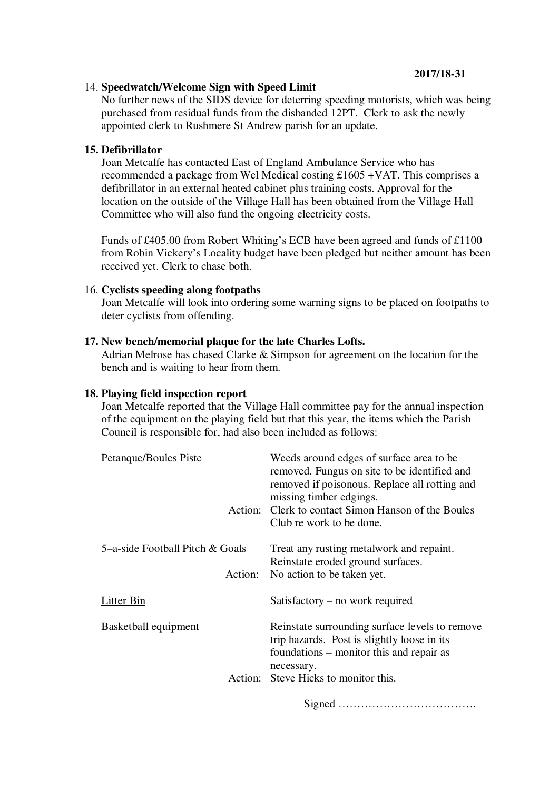# **2017/18-31**

# 14. **Speedwatch/Welcome Sign with Speed Limit**

No further news of the SIDS device for deterring speeding motorists, which was being purchased from residual funds from the disbanded 12PT. Clerk to ask the newly appointed clerk to Rushmere St Andrew parish for an update.

### **15. Defibrillator**

Joan Metcalfe has contacted East of England Ambulance Service who has recommended a package from Wel Medical costing £1605 +VAT. This comprises a defibrillator in an external heated cabinet plus training costs. Approval for the location on the outside of the Village Hall has been obtained from the Village Hall Committee who will also fund the ongoing electricity costs.

Funds of £405.00 from Robert Whiting's ECB have been agreed and funds of £1100 from Robin Vickery's Locality budget have been pledged but neither amount has been received yet. Clerk to chase both.

### 16. **Cyclists speeding along footpaths**

Joan Metcalfe will look into ordering some warning signs to be placed on footpaths to deter cyclists from offending.

### **17. New bench/memorial plaque for the late Charles Lofts.**

Adrian Melrose has chased Clarke & Simpson for agreement on the location for the bench and is waiting to hear from them.

#### **18. Playing field inspection report**

Joan Metcalfe reported that the Village Hall committee pay for the annual inspection of the equipment on the playing field but that this year, the items which the Parish Council is responsible for, had also been included as follows:

| Petanque/Boules Piste                      | Weeds around edges of surface area to be.<br>removed. Fungus on site to be identified and<br>removed if poisonous. Replace all rotting and<br>missing timber edgings.<br>Action: Clerk to contact Simon Hanson of the Boules<br>Club re work to be done. |
|--------------------------------------------|----------------------------------------------------------------------------------------------------------------------------------------------------------------------------------------------------------------------------------------------------------|
| 5-a-side Football Pitch & Goals<br>Action: | Treat any rusting metalwork and repaint.<br>Reinstate eroded ground surfaces.<br>No action to be taken yet.                                                                                                                                              |
| <b>Litter Bin</b>                          | Satisfactory – no work required                                                                                                                                                                                                                          |
| <b>Basketball equipment</b>                | Reinstate surrounding surface levels to remove<br>trip hazards. Post is slightly loose in its<br>foundations – monitor this and repair as<br>necessary.<br>Action: Steve Hicks to monitor this.                                                          |
|                                            |                                                                                                                                                                                                                                                          |